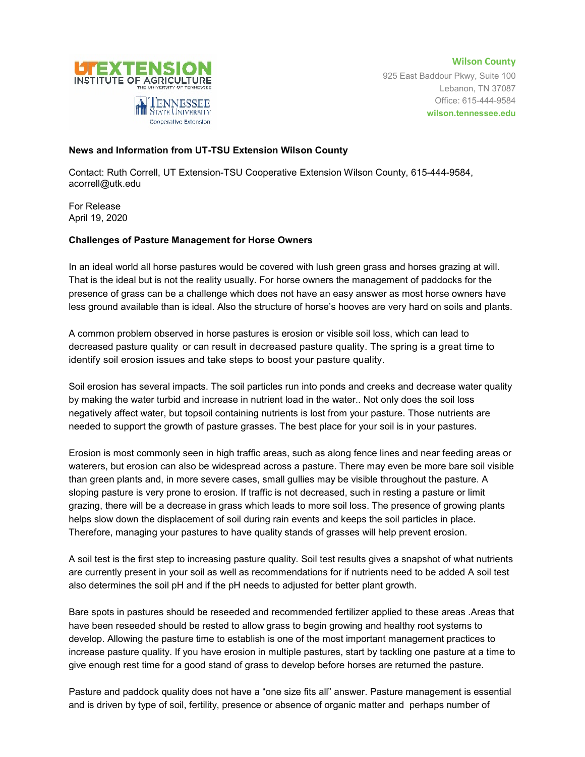

**Wilson County** 925 East Baddour Pkwy, Suite 100 Lebanon, TN 37087 Office: 615-444-9584 **wilson.tennessee.edu**

## **News and Information from UT-TSU Extension Wilson County**

Contact: Ruth Correll, UT Extension-TSU Cooperative Extension Wilson County, 615-444-9584, acorrell@utk.edu

For Release April 19, 2020

## **Challenges of Pasture Management for Horse Owners**

In an ideal world all horse pastures would be covered with lush green grass and horses grazing at will. That is the ideal but is not the reality usually. For horse owners the management of paddocks for the presence of grass can be a challenge which does not have an easy answer as most horse owners have less ground available than is ideal. Also the structure of horse's hooves are very hard on soils and plants.

A common problem observed in horse pastures is erosion or visible soil loss, which can lead to decreased pasture quality or can result in decreased pasture quality. The spring is a great time to identify soil erosion issues and take steps to boost your pasture quality.

Soil erosion has several impacts. The soil particles run into ponds and creeks and decrease water quality by making the water turbid and increase in nutrient load in the water.. Not only does the soil loss negatively affect water, but topsoil containing nutrients is lost from your pasture. Those nutrients are needed to support the growth of pasture grasses. The best place for your soil is in your pastures.

Erosion is most commonly seen in high traffic areas, such as along fence lines and near feeding areas or waterers, but erosion can also be widespread across a pasture. There may even be more bare soil visible than green plants and, in more severe cases, small gullies may be visible throughout the pasture. A sloping pasture is very prone to erosion. If traffic is not decreased, such in resting a pasture or limit grazing, there will be a decrease in grass which leads to more soil loss. The presence of growing plants helps slow down the displacement of soil during rain events and keeps the soil particles in place. Therefore, managing your pastures to have quality stands of grasses will help prevent erosion.

A soil test is the first step to increasing pasture quality. Soil test results gives a snapshot of what nutrients are currently present in your soil as well as recommendations for if nutrients need to be added A soil test also determines the soil pH and if the pH needs to adjusted for better plant growth.

Bare spots in pastures should be reseeded and recommended fertilizer applied to these areas .Areas that have been reseeded should be rested to allow grass to begin growing and healthy root systems to develop. Allowing the pasture time to establish is one of the most important management practices to increase pasture quality. If you have erosion in multiple pastures, start by tackling one pasture at a time to give enough rest time for a good stand of grass to develop before horses are returned the pasture.

Pasture and paddock quality does not have a "one size fits all" answer. Pasture management is essential and is driven by type of soil, fertility, presence or absence of organic matter and perhaps number of